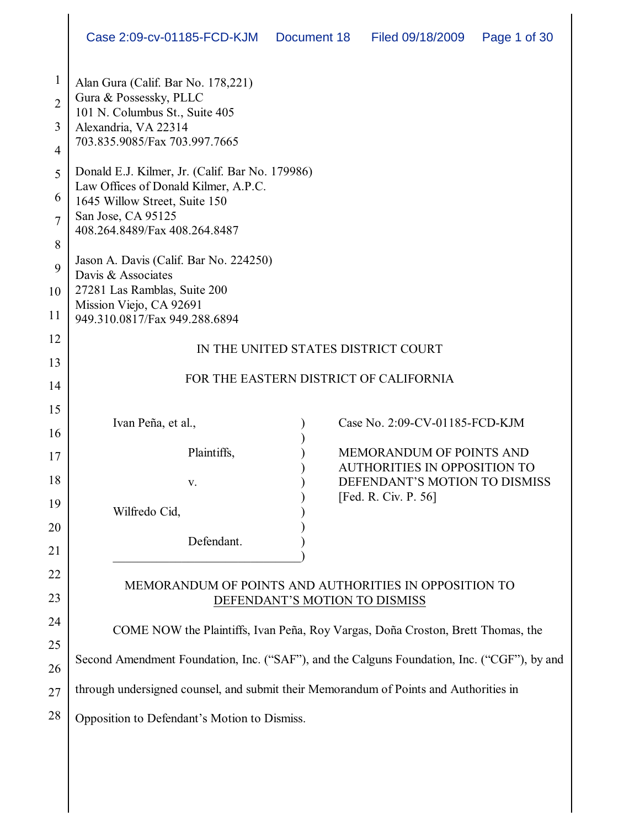|                                     | Case 2:09-cv-01185-FCD-KJM                                                                                             | Document 18 | Filed 09/18/2009                                                     | Page 1 of 30 |
|-------------------------------------|------------------------------------------------------------------------------------------------------------------------|-------------|----------------------------------------------------------------------|--------------|
| $\mathbf{1}$<br>$\overline{2}$<br>3 | Alan Gura (Calif. Bar No. 178,221)<br>Gura & Possessky, PLLC<br>101 N. Columbus St., Suite 405<br>Alexandria, VA 22314 |             |                                                                      |              |
| 4                                   | 703.835.9085/Fax 703.997.7665                                                                                          |             |                                                                      |              |
| 5                                   | Donald E.J. Kilmer, Jr. (Calif. Bar No. 179986)<br>Law Offices of Donald Kilmer, A.P.C.                                |             |                                                                      |              |
| 6                                   | 1645 Willow Street, Suite 150                                                                                          |             |                                                                      |              |
| 7                                   | San Jose, CA 95125<br>408.264.8489/Fax 408.264.8487                                                                    |             |                                                                      |              |
| 8<br>9                              | Jason A. Davis (Calif. Bar No. 224250)                                                                                 |             |                                                                      |              |
| 10                                  | Davis & Associates<br>27281 Las Ramblas, Suite 200                                                                     |             |                                                                      |              |
| 11                                  | Mission Viejo, CA 92691<br>949.310.0817/Fax 949.288.6894                                                               |             |                                                                      |              |
| 12                                  |                                                                                                                        |             | IN THE UNITED STATES DISTRICT COURT                                  |              |
| 13                                  |                                                                                                                        |             | FOR THE EASTERN DISTRICT OF CALIFORNIA                               |              |
| 14                                  |                                                                                                                        |             |                                                                      |              |
| 15                                  | Ivan Peña, et al.,                                                                                                     |             | Case No. 2:09-CV-01185-FCD-KJM                                       |              |
| 16<br>17                            | Plaintiffs,                                                                                                            |             | MEMORANDUM OF POINTS AND                                             |              |
| 18                                  | v.                                                                                                                     |             | <b>AUTHORITIES IN OPPOSITION TO</b><br>DEFENDANT'S MOTION TO DISMISS |              |
| 19                                  | Wilfredo Cid,                                                                                                          |             | [Fed. R. Civ. P. 56]                                                 |              |
| 20                                  |                                                                                                                        |             |                                                                      |              |
| 21                                  | Defendant.                                                                                                             |             |                                                                      |              |
| 22                                  | MEMORANDUM OF POINTS AND AUTHORITIES IN OPPOSITION TO                                                                  |             |                                                                      |              |
| 23                                  |                                                                                                                        |             | DEFENDANT'S MOTION TO DISMISS                                        |              |
| 24                                  | COME NOW the Plaintiffs, Ivan Peña, Roy Vargas, Doña Croston, Brett Thomas, the                                        |             |                                                                      |              |
| 25<br>26                            | Second Amendment Foundation, Inc. ("SAF"), and the Calguns Foundation, Inc. ("CGF"), by and                            |             |                                                                      |              |
| 27                                  | through undersigned counsel, and submit their Memorandum of Points and Authorities in                                  |             |                                                                      |              |
| 28                                  | Opposition to Defendant's Motion to Dismiss.                                                                           |             |                                                                      |              |
|                                     |                                                                                                                        |             |                                                                      |              |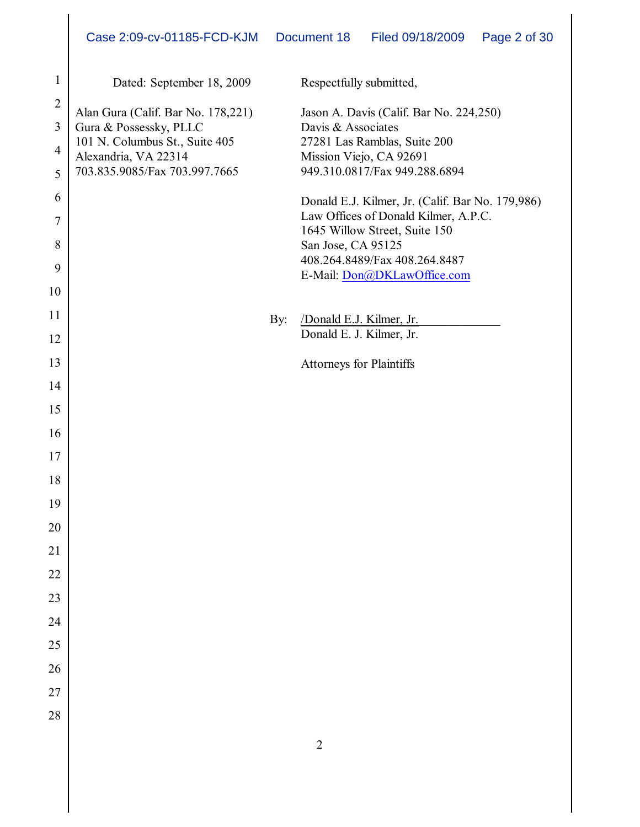| $\mathbf{1}$   | Dated: September 18, 2009                              |     | Respectfully submitted,                                               |
|----------------|--------------------------------------------------------|-----|-----------------------------------------------------------------------|
| $\overline{2}$ | Alan Gura (Calif. Bar No. 178,221)                     |     | Jason A. Davis (Calif. Bar No. 224,250)                               |
| 3              | Gura & Possessky, PLLC                                 |     | Davis & Associates                                                    |
| 4              | 101 N. Columbus St., Suite 405<br>Alexandria, VA 22314 |     | 27281 Las Ramblas, Suite 200<br>Mission Viejo, CA 92691               |
| 5              | 703.835.9085/Fax 703.997.7665                          |     | 949.310.0817/Fax 949.288.6894                                         |
| 6              |                                                        |     | Donald E.J. Kilmer, Jr. (Calif. Bar No. 179,986)                      |
| $\tau$         |                                                        |     | Law Offices of Donald Kilmer, A.P.C.<br>1645 Willow Street, Suite 150 |
| 8              |                                                        |     | San Jose, CA 95125                                                    |
| 9              |                                                        |     | 408.264.8489/Fax 408.264.8487                                         |
| 10             |                                                        |     | E-Mail: Don@DKLawOffice.com                                           |
| 11             |                                                        | By: | /Donald E.J. Kilmer, Jr.                                              |
| 12             |                                                        |     | Donald E. J. Kilmer, Jr.                                              |
| 13             |                                                        |     | <b>Attorneys for Plaintiffs</b>                                       |
| 14             |                                                        |     |                                                                       |
| 15             |                                                        |     |                                                                       |
| 16             |                                                        |     |                                                                       |
| 17             |                                                        |     |                                                                       |
| 18             |                                                        |     |                                                                       |
| 19             |                                                        |     |                                                                       |
| 20             |                                                        |     |                                                                       |
| 21             |                                                        |     |                                                                       |
| 22             |                                                        |     |                                                                       |
| 23             |                                                        |     |                                                                       |
| 24             |                                                        |     |                                                                       |
| 25             |                                                        |     |                                                                       |
| 26             |                                                        |     |                                                                       |
| 27             |                                                        |     |                                                                       |
| 28             |                                                        |     |                                                                       |
|                |                                                        |     | $\sqrt{2}$                                                            |
|                |                                                        |     |                                                                       |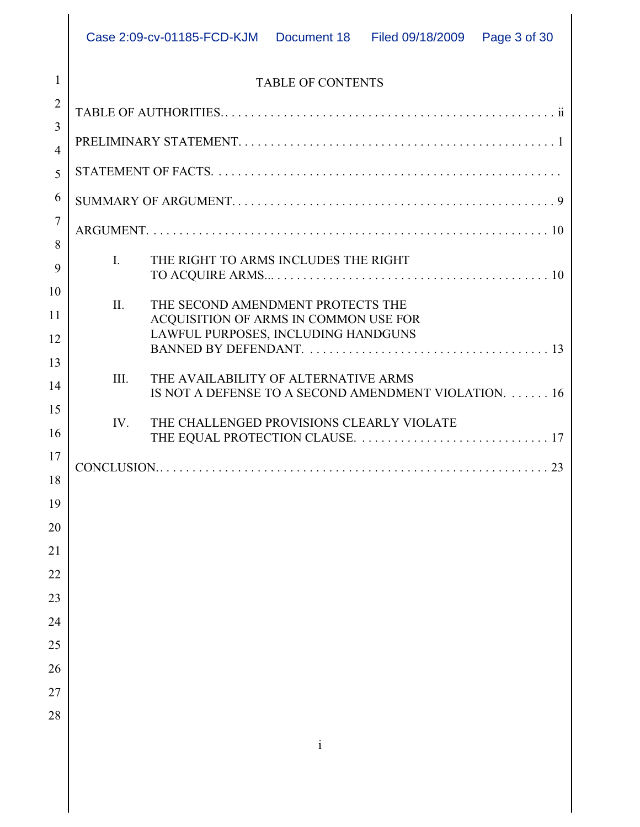# 1 2 3 4 5 6 7 8 9 10 11 12 13 14 15 16 17 18

24

25

26

27

| 1              | <b>TABLE OF CONTENTS</b> |                                                                                               |  |
|----------------|--------------------------|-----------------------------------------------------------------------------------------------|--|
| $\overline{2}$ |                          |                                                                                               |  |
| 3              |                          |                                                                                               |  |
| $\overline{4}$ |                          |                                                                                               |  |
| 5              |                          |                                                                                               |  |
| 6              |                          |                                                                                               |  |
| $\overline{7}$ |                          |                                                                                               |  |
| 8              | I.                       | THE RIGHT TO ARMS INCLUDES THE RIGHT                                                          |  |
| 9              |                          |                                                                                               |  |
| 10             | $\Pi$ .                  | THE SECOND AMENDMENT PROTECTS THE                                                             |  |
| 11             |                          | ACQUISITION OF ARMS IN COMMON USE FOR<br>LAWFUL PURPOSES, INCLUDING HANDGUNS                  |  |
| 12             |                          |                                                                                               |  |
| 13<br>14       | III.                     | THE AVAILABILITY OF ALTERNATIVE ARMS<br>IS NOT A DEFENSE TO A SECOND AMENDMENT VIOLATION.  16 |  |
| 15             | IV.                      | THE CHALLENGED PROVISIONS CLEARLY VIOLATE                                                     |  |
| 16             |                          |                                                                                               |  |
| 17             |                          |                                                                                               |  |
| 18             |                          |                                                                                               |  |
| 19             |                          |                                                                                               |  |
| 20             |                          |                                                                                               |  |
| 21             |                          |                                                                                               |  |
| 22             |                          |                                                                                               |  |
| 23             |                          |                                                                                               |  |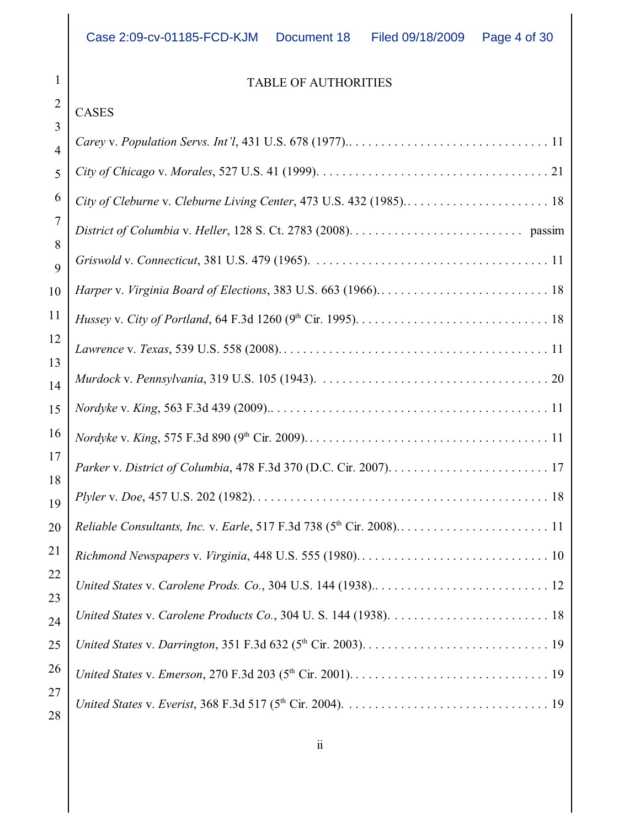# 1 2 3 4 5 6 7 8 9 10 11 12 13 14  $\overline{1}$ : 16  $1'$ 18 19 20 21 22 23  $24$ 25  $26$  $2<sup>7</sup>$

CASES

# TABLE OF AUTHORITIES

| $\overline{4}$ |  |
|----------------|--|
| 5              |  |
| 6              |  |
| 7              |  |
| 8<br>9         |  |
| 10             |  |
| 11             |  |
| 12             |  |
| 13<br>14       |  |
| 15             |  |
| 16             |  |
| 17             |  |
| 18<br>19       |  |
| 20             |  |
| 21             |  |
| 22             |  |
| 23<br>24       |  |
| 25             |  |
| 26             |  |
| 27<br>28       |  |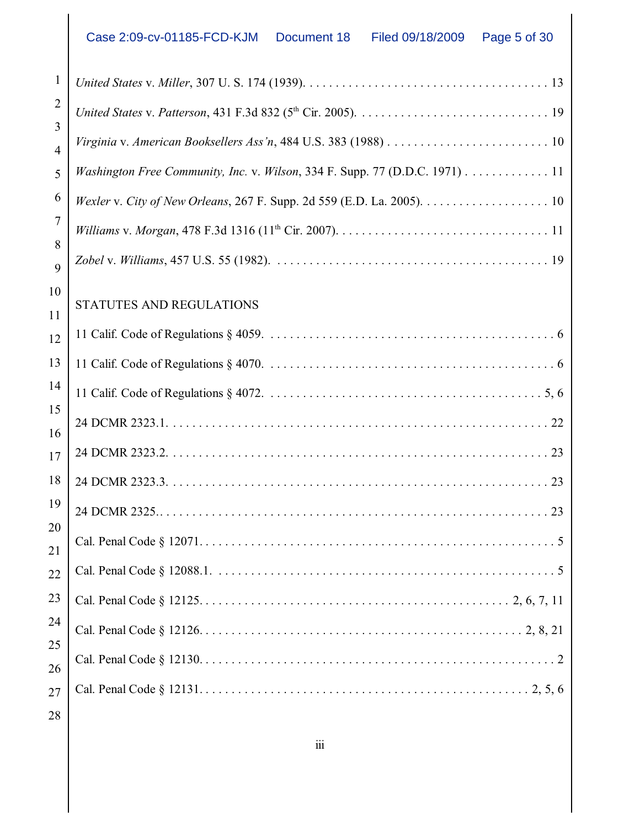| 1              |                                                                                                                              |
|----------------|------------------------------------------------------------------------------------------------------------------------------|
| $\overline{2}$ |                                                                                                                              |
| 3              | Virginia v. American Booksellers Ass'n, 484 U.S. 383 (1988) $\ldots \ldots \ldots \ldots \ldots \ldots \ldots \ldots \ldots$ |
| $\overline{4}$ | Washington Free Community, Inc. v. Wilson, 334 F. Supp. 77 (D.D.C. 1971) 11                                                  |
| 5<br>6         |                                                                                                                              |
| 7              | Wexler v. City of New Orleans, 267 F. Supp. 2d 559 (E.D. La. 2005). $\dots \dots \dots \dots \dots \dots \dots$              |
| 8              |                                                                                                                              |
| 9              |                                                                                                                              |
| 10             |                                                                                                                              |
| 11             | STATUTES AND REGULATIONS                                                                                                     |
| 12             |                                                                                                                              |
| 13             |                                                                                                                              |
| 14             |                                                                                                                              |
| 15<br>16       |                                                                                                                              |
| 17             |                                                                                                                              |
| 18             |                                                                                                                              |
| 19             |                                                                                                                              |
| 20             |                                                                                                                              |
| 21             |                                                                                                                              |
| 22             |                                                                                                                              |
| 23             |                                                                                                                              |
| 24             |                                                                                                                              |
| 25<br>26       |                                                                                                                              |
| 27             |                                                                                                                              |
|                |                                                                                                                              |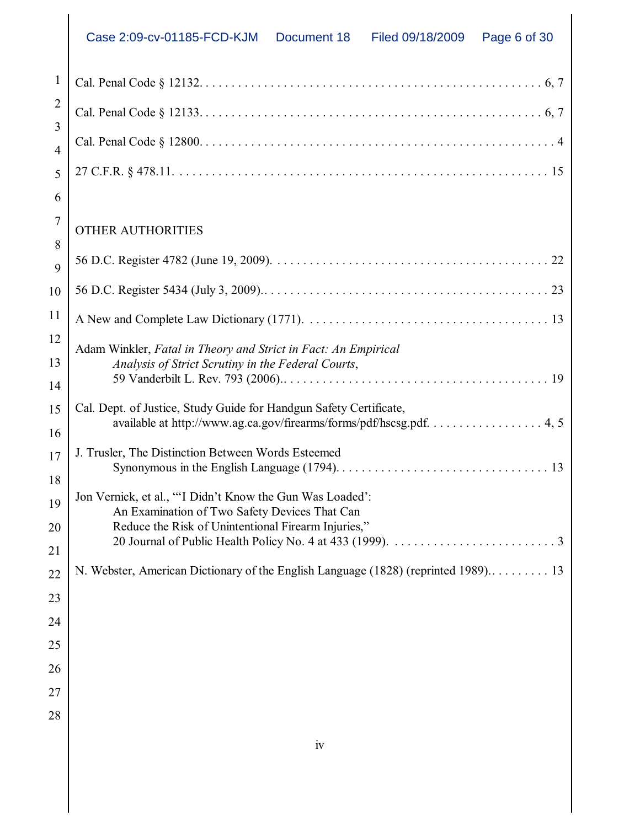| Case 2:09-cv-01185-FCD-KJM Document 18 | Filed 09/18/2009  Page 6 of 30 |  |
|----------------------------------------|--------------------------------|--|
|                                        |                                |  |

| $\mathbf{1}$   |                                                                                                            |
|----------------|------------------------------------------------------------------------------------------------------------|
| $\overline{2}$ |                                                                                                            |
| 3              |                                                                                                            |
| $\overline{4}$ |                                                                                                            |
| 5              |                                                                                                            |
| 6              |                                                                                                            |
| 7              | <b>OTHER AUTHORITIES</b>                                                                                   |
| 8              |                                                                                                            |
| 9              |                                                                                                            |
| 10             |                                                                                                            |
| 11             |                                                                                                            |
| 12             | Adam Winkler, Fatal in Theory and Strict in Fact: An Empirical                                             |
| 13             | Analysis of Strict Scrutiny in the Federal Courts,                                                         |
| 14             |                                                                                                            |
| 15             | Cal. Dept. of Justice, Study Guide for Handgun Safety Certificate,                                         |
| 16             | available at http://www.ag.ca.gov/firearms/forms/pdf/hscsg.pdf. 4, 5                                       |
| 17             | J. Trusler, The Distinction Between Words Esteemed                                                         |
| 18             |                                                                                                            |
| 19             | Jon Vernick, et al., ""I Didn't Know the Gun Was Loaded':<br>An Examination of Two Safety Devices That Can |
| 20             | Reduce the Risk of Unintentional Firearm Injuries,"                                                        |
| 21             |                                                                                                            |
| 22             | N. Webster, American Dictionary of the English Language (1828) (reprinted 1989) 13                         |
| 23             |                                                                                                            |
| 24             |                                                                                                            |
| 25             |                                                                                                            |
| 26             |                                                                                                            |
| 27             |                                                                                                            |
| 28             |                                                                                                            |
|                |                                                                                                            |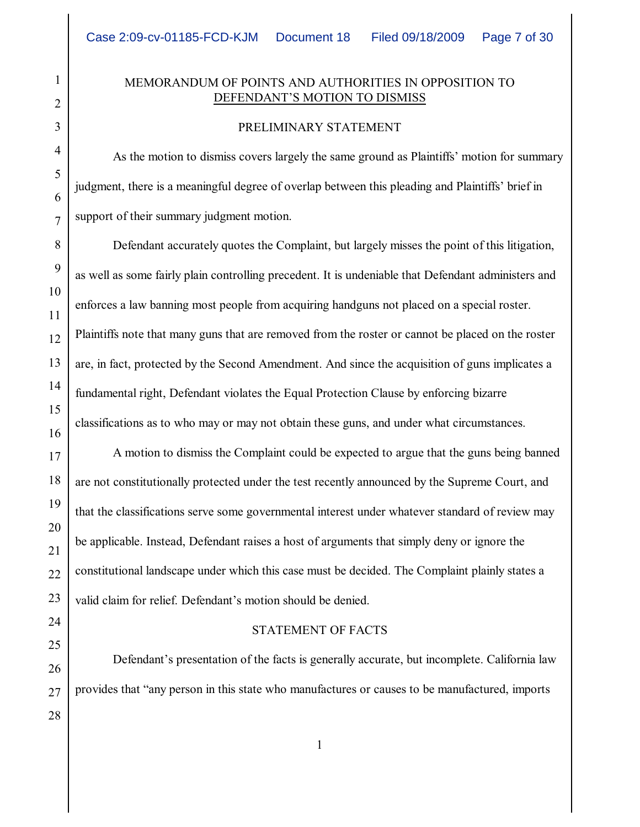### MEMORANDUM OF POINTS AND AUTHORITIES IN OPPOSITION TO DEFENDANT'S MOTION TO DISMISS

#### PRELIMINARY STATEMENT

As the motion to dismiss covers largely the same ground as Plaintiffs' motion for summary judgment, there is a meaningful degree of overlap between this pleading and Plaintiffs' brief in support of their summary judgment motion.

Defendant accurately quotes the Complaint, but largely misses the point of this litigation, as well as some fairly plain controlling precedent. It is undeniable that Defendant administers and enforces a law banning most people from acquiring handguns not placed on a special roster. Plaintiffs note that many guns that are removed from the roster or cannot be placed on the roster are, in fact, protected by the Second Amendment. And since the acquisition of guns implicates a fundamental right, Defendant violates the Equal Protection Clause by enforcing bizarre classifications as to who may or may not obtain these guns, and under what circumstances.

A motion to dismiss the Complaint could be expected to argue that the guns being banned are not constitutionally protected under the test recently announced by the Supreme Court, and that the classifications serve some governmental interest under whatever standard of review may be applicable. Instead, Defendant raises a host of arguments that simply deny or ignore the constitutional landscape under which this case must be decided. The Complaint plainly states a valid claim for relief. Defendant's motion should be denied.

#### STATEMENT OF FACTS

Defendant's presentation of the facts is generally accurate, but incomplete. California law provides that "any person in this state who manufactures or causes to be manufactured, imports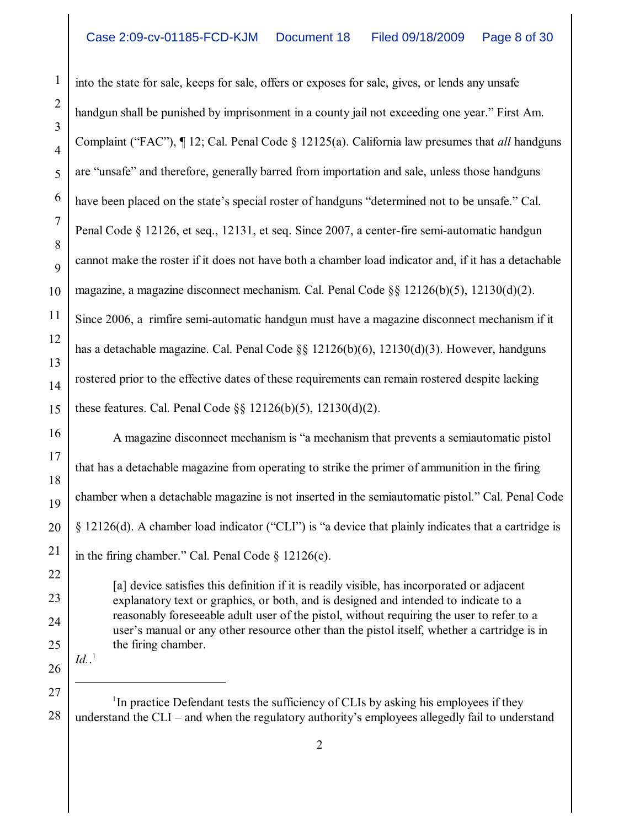into the state for sale, keeps for sale, offers or exposes for sale, gives, or lends any unsafe handgun shall be punished by imprisonment in a county jail not exceeding one year." First Am. Complaint ("FAC"), ¶ 12; Cal. Penal Code § 12125(a). California law presumes that *all* handguns are "unsafe" and therefore, generally barred from importation and sale, unless those handguns have been placed on the state's special roster of handguns "determined not to be unsafe." Cal. Penal Code § 12126, et seq., 12131, et seq. Since 2007, a center-fire semi-automatic handgun cannot make the roster if it does not have both a chamber load indicator and, if it has a detachable magazine, a magazine disconnect mechanism. Cal. Penal Code §§ 12126(b)(5), 12130(d)(2). Since 2006, a rimfire semi-automatic handgun must have a magazine disconnect mechanism if it has a detachable magazine. Cal. Penal Code §§ 12126(b)(6), 12130(d)(3). However, handguns rostered prior to the effective dates of these requirements can remain rostered despite lacking these features. Cal. Penal Code §§ 12126(b)(5), 12130(d)(2).

A magazine disconnect mechanism is "a mechanism that prevents a semiautomatic pistol that has a detachable magazine from operating to strike the primer of ammunition in the firing chamber when a detachable magazine is not inserted in the semiautomatic pistol." Cal. Penal Code § 12126(d). A chamber load indicator ("CLI") is "a device that plainly indicates that a cartridge is in the firing chamber." Cal. Penal Code § 12126(c).

[a] device satisfies this definition if it is readily visible, has incorporated or adjacent explanatory text or graphics, or both, and is designed and intended to indicate to a reasonably foreseeable adult user of the pistol, without requiring the user to refer to a user's manual or any other resource other than the pistol itself, whether a cartridge is in the firing chamber.

26  $Id.$ <sup>1</sup>

27

28

1

2

3

4

5

6

7

8

9

10

11

12

13

14

15

16

17

18

19

20

21

22

23

24

25

 $\rm{^{1}In}$  practice Defendant tests the sufficiency of CLIs by asking his employees if they understand the CLI – and when the regulatory authority's employees allegedly fail to understand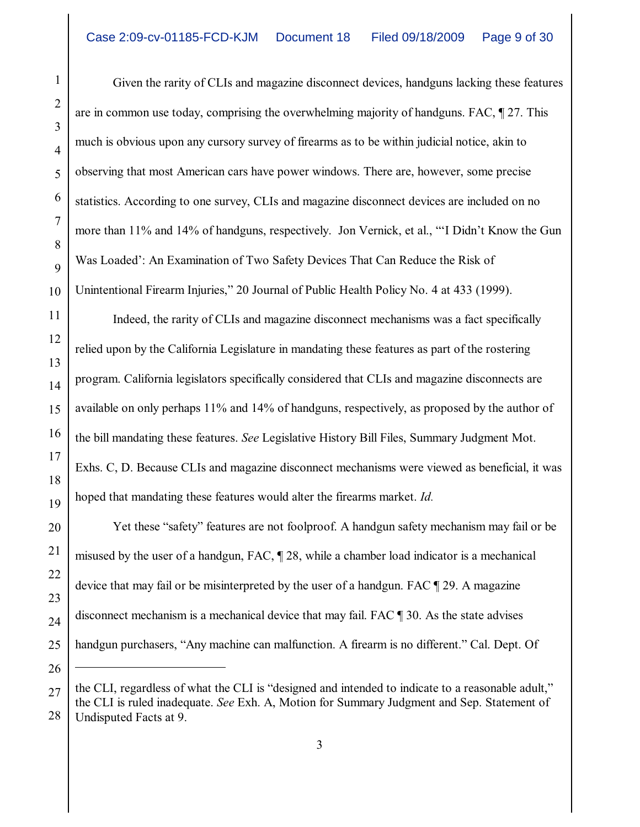Given the rarity of CLIs and magazine disconnect devices, handguns lacking these features are in common use today, comprising the overwhelming majority of handguns. FAC, ¶ 27. This much is obvious upon any cursory survey of firearms as to be within judicial notice, akin to observing that most American cars have power windows. There are, however, some precise statistics. According to one survey, CLIs and magazine disconnect devices are included on no more than 11% and 14% of handguns, respectively. Jon Vernick, et al., "'I Didn't Know the Gun Was Loaded': An Examination of Two Safety Devices That Can Reduce the Risk of Unintentional Firearm Injuries," 20 Journal of Public Health Policy No. 4 at 433 (1999).

Indeed, the rarity of CLIs and magazine disconnect mechanisms was a fact specifically relied upon by the California Legislature in mandating these features as part of the rostering program. California legislators specifically considered that CLIs and magazine disconnects are available on only perhaps 11% and 14% of handguns, respectively, as proposed by the author of the bill mandating these features. *See* Legislative History Bill Files, Summary Judgment Mot. Exhs. C, D. Because CLIs and magazine disconnect mechanisms were viewed as beneficial, it was hoped that mandating these features would alter the firearms market. *Id.*

Yet these "safety" features are not foolproof. A handgun safety mechanism may fail or be misused by the user of a handgun, FAC, ¶ 28, while a chamber load indicator is a mechanical device that may fail or be misinterpreted by the user of a handgun. FAC ¶ 29. A magazine disconnect mechanism is a mechanical device that may fail. FAC ¶ 30. As the state advises handgun purchasers, "Any machine can malfunction. A firearm is no different." Cal. Dept. Of

the CLI, regardless of what the CLI is "designed and intended to indicate to a reasonable adult," the CLI is ruled inadequate. *See* Exh. A, Motion for Summary Judgment and Sep. Statement of Undisputed Facts at 9.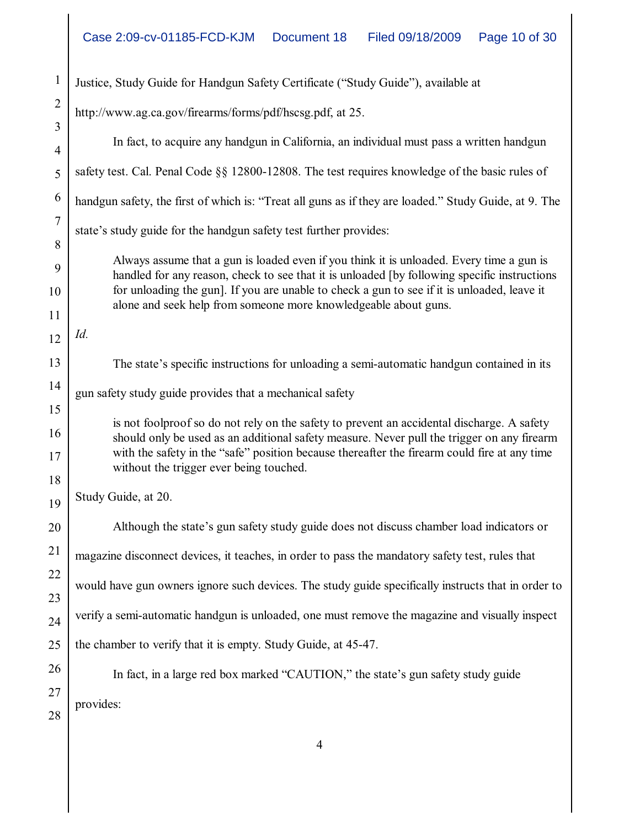| $\mathbf{1}$     | Justice, Study Guide for Handgun Safety Certificate ("Study Guide"), available at                                                                                                                                                                            |  |  |
|------------------|--------------------------------------------------------------------------------------------------------------------------------------------------------------------------------------------------------------------------------------------------------------|--|--|
| $\mathbf{2}$     | http://www.ag.ca.gov/firearms/forms/pdf/hscsg.pdf, at 25.                                                                                                                                                                                                    |  |  |
| 3                |                                                                                                                                                                                                                                                              |  |  |
| 4                | In fact, to acquire any handgun in California, an individual must pass a written handgun                                                                                                                                                                     |  |  |
| 5                | safety test. Cal. Penal Code §§ 12800-12808. The test requires knowledge of the basic rules of                                                                                                                                                               |  |  |
| 6                | handgun safety, the first of which is: "Treat all guns as if they are loaded." Study Guide, at 9. The                                                                                                                                                        |  |  |
| $\boldsymbol{7}$ | state's study guide for the handgun safety test further provides:                                                                                                                                                                                            |  |  |
| 8                | Always assume that a gun is loaded even if you think it is unloaded. Every time a gun is                                                                                                                                                                     |  |  |
| 9                | handled for any reason, check to see that it is unloaded [by following specific instructions<br>for unloading the gun]. If you are unable to check a gun to see if it is unloaded, leave it                                                                  |  |  |
| 10<br>11         | alone and seek help from someone more knowledgeable about guns.                                                                                                                                                                                              |  |  |
| 12               | Id.                                                                                                                                                                                                                                                          |  |  |
|                  |                                                                                                                                                                                                                                                              |  |  |
| 13               | The state's specific instructions for unloading a semi-automatic handgun contained in its                                                                                                                                                                    |  |  |
| 14               | gun safety study guide provides that a mechanical safety                                                                                                                                                                                                     |  |  |
| 15               | is not foolproof so do not rely on the safety to prevent an accidental discharge. A safety                                                                                                                                                                   |  |  |
| 16               | should only be used as an additional safety measure. Never pull the trigger on any firearm<br>with the safety in the "safe" position because thereafter the firearm could fire at any time<br>without the trigger ever being touched.<br>Study Guide, at 20. |  |  |
| 17               |                                                                                                                                                                                                                                                              |  |  |
| 18               |                                                                                                                                                                                                                                                              |  |  |
| 19               |                                                                                                                                                                                                                                                              |  |  |
| 20               | Although the state's gun safety study guide does not discuss chamber load indicators or                                                                                                                                                                      |  |  |
| 21               | magazine disconnect devices, it teaches, in order to pass the mandatory safety test, rules that                                                                                                                                                              |  |  |
| 22               | would have gun owners ignore such devices. The study guide specifically instructs that in order to                                                                                                                                                           |  |  |
| 23               |                                                                                                                                                                                                                                                              |  |  |
| 24               | verify a semi-automatic handgun is unloaded, one must remove the magazine and visually inspect                                                                                                                                                               |  |  |
| 25               | the chamber to verify that it is empty. Study Guide, at 45-47.                                                                                                                                                                                               |  |  |
| 26               | In fact, in a large red box marked "CAUTION," the state's gun safety study guide                                                                                                                                                                             |  |  |
| 27               | provides:                                                                                                                                                                                                                                                    |  |  |
| 28               |                                                                                                                                                                                                                                                              |  |  |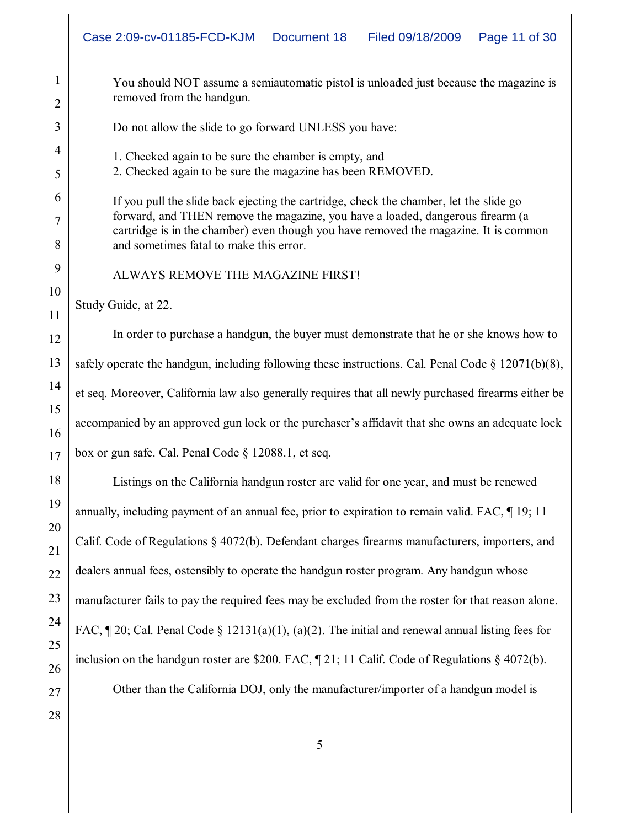|          | Case 2:09-cv-01185-FCD-KJM<br>Document 18<br>Filed 09/18/2009<br>Page 11 of 30                                                                                         |  |  |  |  |
|----------|------------------------------------------------------------------------------------------------------------------------------------------------------------------------|--|--|--|--|
| 1<br>2   | You should NOT assume a semiautomatic pistol is unloaded just because the magazine is<br>removed from the handgun.                                                     |  |  |  |  |
| 3        | Do not allow the slide to go forward UNLESS you have:                                                                                                                  |  |  |  |  |
| 4        | 1. Checked again to be sure the chamber is empty, and                                                                                                                  |  |  |  |  |
| 5        | 2. Checked again to be sure the magazine has been REMOVED.                                                                                                             |  |  |  |  |
| 6        | If you pull the slide back ejecting the cartridge, check the chamber, let the slide go                                                                                 |  |  |  |  |
| 7        | forward, and THEN remove the magazine, you have a loaded, dangerous firearm (a<br>cartridge is in the chamber) even though you have removed the magazine. It is common |  |  |  |  |
| 8        | and sometimes fatal to make this error.                                                                                                                                |  |  |  |  |
| 9        | ALWAYS REMOVE THE MAGAZINE FIRST!                                                                                                                                      |  |  |  |  |
| 10<br>11 | Study Guide, at 22.                                                                                                                                                    |  |  |  |  |
| 12       | In order to purchase a handgun, the buyer must demonstrate that he or she knows how to                                                                                 |  |  |  |  |
| 13       | safely operate the handgun, including following these instructions. Cal. Penal Code $\S$ 12071(b)(8),                                                                  |  |  |  |  |
| 14       | et seq. Moreover, California law also generally requires that all newly purchased firearms either be                                                                   |  |  |  |  |
| 15       |                                                                                                                                                                        |  |  |  |  |
| 16       | accompanied by an approved gun lock or the purchaser's affidavit that she owns an adequate lock                                                                        |  |  |  |  |
| 17       | box or gun safe. Cal. Penal Code $\S$ 12088.1, et seq.                                                                                                                 |  |  |  |  |
| 18       | Listings on the California handgun roster are valid for one year, and must be renewed                                                                                  |  |  |  |  |
| 19       | annually, including payment of an annual fee, prior to expiration to remain valid. FAC, 19; 11                                                                         |  |  |  |  |
| 20<br>21 | Calif. Code of Regulations § 4072(b). Defendant charges firearms manufacturers, importers, and                                                                         |  |  |  |  |
| 22       | dealers annual fees, ostensibly to operate the handgun roster program. Any handgun whose                                                                               |  |  |  |  |
| 23       | manufacturer fails to pay the required fees may be excluded from the roster for that reason alone.                                                                     |  |  |  |  |
| 24       | FAC, $\P$ 20; Cal. Penal Code § 12131(a)(1), (a)(2). The initial and renewal annual listing fees for                                                                   |  |  |  |  |
| 25       |                                                                                                                                                                        |  |  |  |  |
| 26       | inclusion on the handgun roster are \$200. FAC, $\parallel$ 21; 11 Calif. Code of Regulations § 4072(b).                                                               |  |  |  |  |
| 27       | Other than the California DOJ, only the manufacturer/importer of a handgun model is                                                                                    |  |  |  |  |
| 28       |                                                                                                                                                                        |  |  |  |  |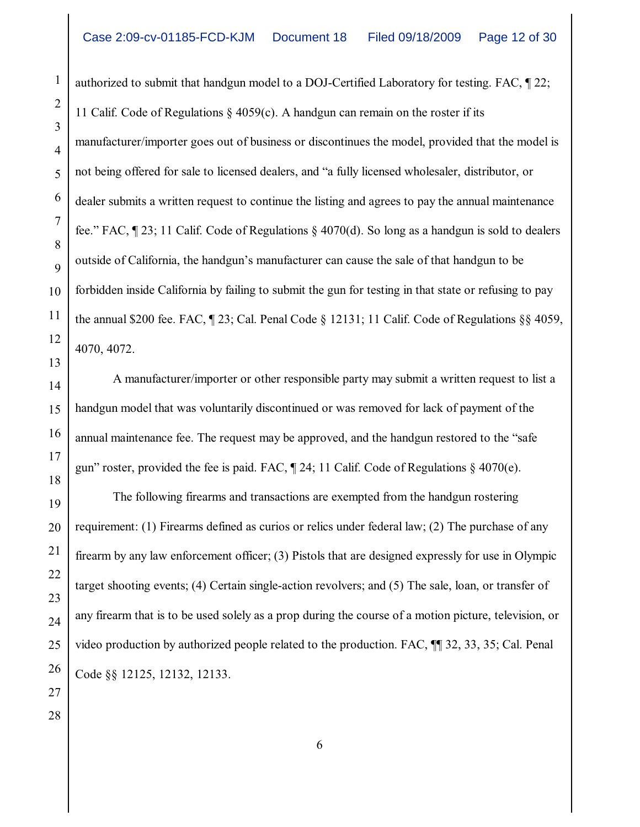authorized to submit that handgun model to a DOJ-Certified Laboratory for testing. FAC, ¶ 22; 11 Calif. Code of Regulations  $\S$  4059(c). A handgun can remain on the roster if its manufacturer/importer goes out of business or discontinues the model, provided that the model is not being offered for sale to licensed dealers, and "a fully licensed wholesaler, distributor, or dealer submits a written request to continue the listing and agrees to pay the annual maintenance fee." FAC,  $\P$  23; 11 Calif. Code of Regulations  $\S$  4070(d). So long as a handgun is sold to dealers outside of California, the handgun's manufacturer can cause the sale of that handgun to be forbidden inside California by failing to submit the gun for testing in that state or refusing to pay the annual \$200 fee. FAC,  $\sqrt{23}$ ; Cal. Penal Code § 12131; 11 Calif. Code of Regulations §§ 4059, 4070, 4072.

A manufacturer/importer or other responsible party may submit a written request to list a handgun model that was voluntarily discontinued or was removed for lack of payment of the annual maintenance fee. The request may be approved, and the handgun restored to the "safe gun" roster, provided the fee is paid. FAC,  $\parallel$  24; 11 Calif. Code of Regulations  $\S$  4070(e).

The following firearms and transactions are exempted from the handgun rostering requirement: (1) Firearms defined as curios or relics under federal law; (2) The purchase of any firearm by any law enforcement officer; (3) Pistols that are designed expressly for use in Olympic target shooting events; (4) Certain single-action revolvers; and (5) The sale, loan, or transfer of any firearm that is to be used solely as a prop during the course of a motion picture, television, or video production by authorized people related to the production. FAC, ¶¶ 32, 33, 35; Cal. Penal Code §§ 12125, 12132, 12133.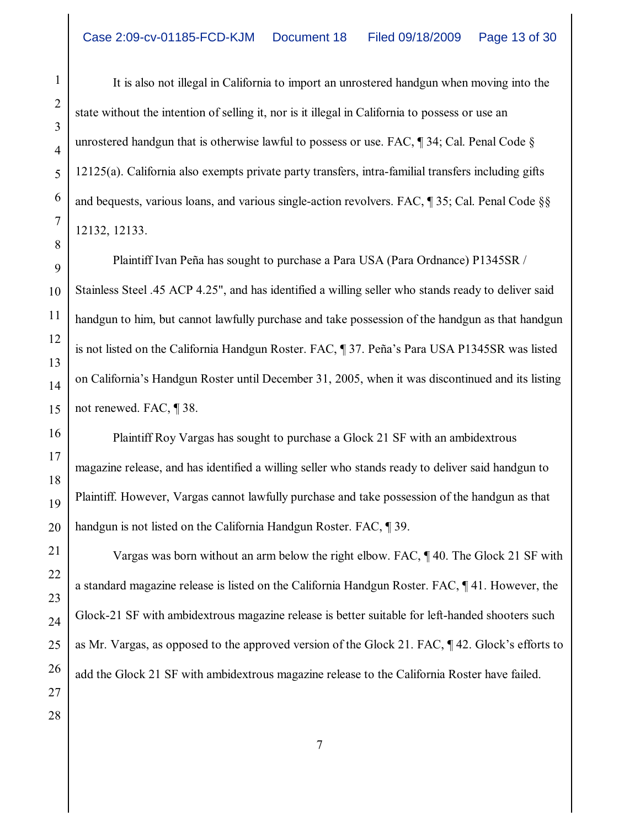It is also not illegal in California to import an unrostered handgun when moving into the state without the intention of selling it, nor is it illegal in California to possess or use an unrostered handgun that is otherwise lawful to possess or use. FAC,  $\parallel$  34; Cal. Penal Code  $\S$ 12125(a). California also exempts private party transfers, intra-familial transfers including gifts and bequests, various loans, and various single-action revolvers. FAC, ¶ 35; Cal. Penal Code §§ 12132, 12133.

Plaintiff Ivan Peña has sought to purchase a Para USA (Para Ordnance) P1345SR / Stainless Steel .45 ACP 4.25", and has identified a willing seller who stands ready to deliver said handgun to him, but cannot lawfully purchase and take possession of the handgun as that handgun is not listed on the California Handgun Roster. FAC, ¶ 37. Peña's Para USA P1345SR was listed on California's Handgun Roster until December 31, 2005, when it was discontinued and its listing not renewed. FAC, ¶ 38.

Plaintiff Roy Vargas has sought to purchase a Glock 21 SF with an ambidextrous magazine release, and has identified a willing seller who stands ready to deliver said handgun to Plaintiff. However, Vargas cannot lawfully purchase and take possession of the handgun as that handgun is not listed on the California Handgun Roster. FAC, ¶ 39.

Vargas was born without an arm below the right elbow. FAC, ¶ 40. The Glock 21 SF with a standard magazine release is listed on the California Handgun Roster. FAC, ¶ 41. However, the Glock-21 SF with ambidextrous magazine release is better suitable for left-handed shooters such as Mr. Vargas, as opposed to the approved version of the Glock 21. FAC, ¶ 42. Glock's efforts to add the Glock 21 SF with ambidextrous magazine release to the California Roster have failed.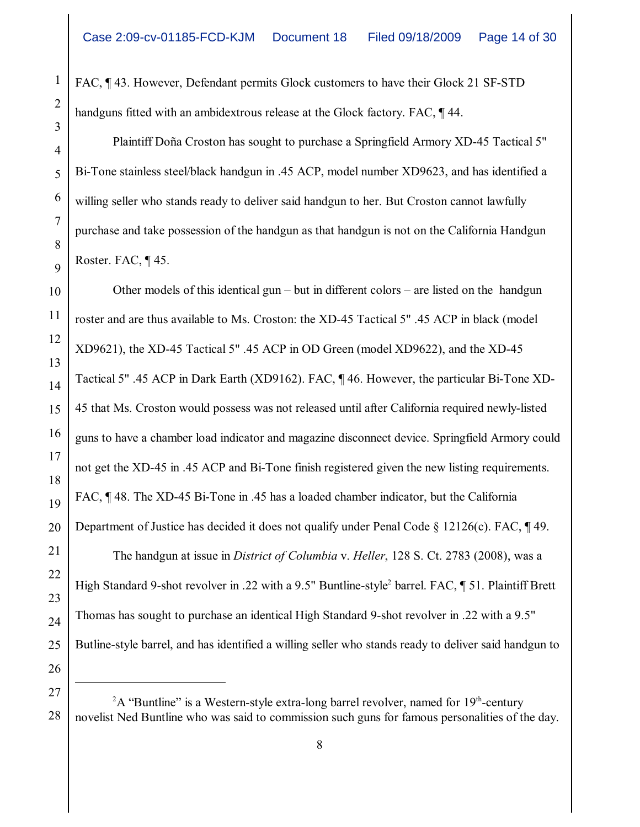FAC, ¶ 43. However, Defendant permits Glock customers to have their Glock 21 SF-STD handguns fitted with an ambidextrous release at the Glock factory. FAC, ¶ 44.

Plaintiff Doña Croston has sought to purchase a Springfield Armory XD-45 Tactical 5" Bi-Tone stainless steel/black handgun in .45 ACP, model number XD9623, and has identified a willing seller who stands ready to deliver said handgun to her. But Croston cannot lawfully purchase and take possession of the handgun as that handgun is not on the California Handgun Roster. FAC, ¶ 45.

Other models of this identical gun – but in different colors – are listed on the handgun roster and are thus available to Ms. Croston: the XD-45 Tactical 5" .45 ACP in black (model XD9621), the XD-45 Tactical 5" .45 ACP in OD Green (model XD9622), and the XD-45 Tactical 5" .45 ACP in Dark Earth (XD9162). FAC, ¶ 46. However, the particular Bi-Tone XD-45 that Ms. Croston would possess was not released until after California required newly-listed guns to have a chamber load indicator and magazine disconnect device. Springfield Armory could not get the XD-45 in .45 ACP and Bi-Tone finish registered given the new listing requirements. FAC, ¶ 48. The XD-45 Bi-Tone in .45 has a loaded chamber indicator, but the California Department of Justice has decided it does not qualify under Penal Code  $\S 12126(c)$ . FAC,  $\P 49$ . The handgun at issue in *District of Columbia* v. *Heller*, 128 S. Ct. 2783 (2008), was a High Standard 9-shot revolver in .22 with a 9.5" Buntline-style<sup>2</sup> barrel. FAC, 151. Plaintiff Brett Thomas has sought to purchase an identical High Standard 9-shot revolver in .22 with a 9.5" Butline-style barrel, and has identified a willing seller who stands ready to deliver said handgun to

 $A^2A$  "Buntline" is a Western-style extra-long barrel revolver, named for 19<sup>th</sup>-century novelist Ned Buntline who was said to commission such guns for famous personalities of the day.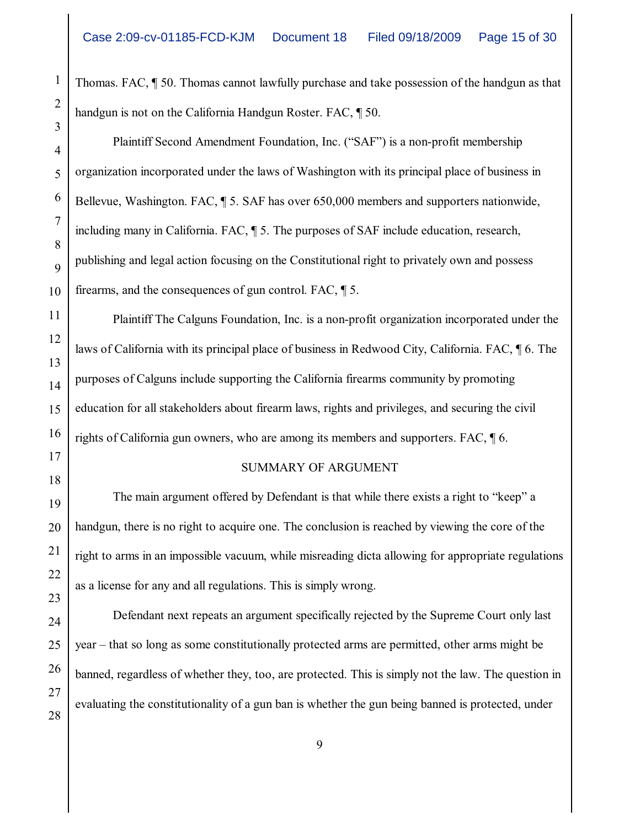Thomas. FAC, ¶ 50. Thomas cannot lawfully purchase and take possession of the handgun as that handgun is not on the California Handgun Roster. FAC, ¶ 50.

Plaintiff Second Amendment Foundation, Inc. ("SAF") is a non-profit membership organization incorporated under the laws of Washington with its principal place of business in Bellevue, Washington. FAC, ¶ 5. SAF has over 650,000 members and supporters nationwide, including many in California. FAC, ¶ 5. The purposes of SAF include education, research, publishing and legal action focusing on the Constitutional right to privately own and possess firearms, and the consequences of gun control. FAC, ¶ 5.

Plaintiff The Calguns Foundation, Inc. is a non-profit organization incorporated under the laws of California with its principal place of business in Redwood City, California. FAC, ¶ 6. The purposes of Calguns include supporting the California firearms community by promoting education for all stakeholders about firearm laws, rights and privileges, and securing the civil rights of California gun owners, who are among its members and supporters. FAC, ¶ 6.

## SUMMARY OF ARGUMENT

The main argument offered by Defendant is that while there exists a right to "keep" a handgun, there is no right to acquire one. The conclusion is reached by viewing the core of the right to arms in an impossible vacuum, while misreading dicta allowing for appropriate regulations as a license for any and all regulations. This is simply wrong.

Defendant next repeats an argument specifically rejected by the Supreme Court only last year – that so long as some constitutionally protected arms are permitted, other arms might be banned, regardless of whether they, too, are protected. This is simply not the law. The question in evaluating the constitutionality of a gun ban is whether the gun being banned is protected, under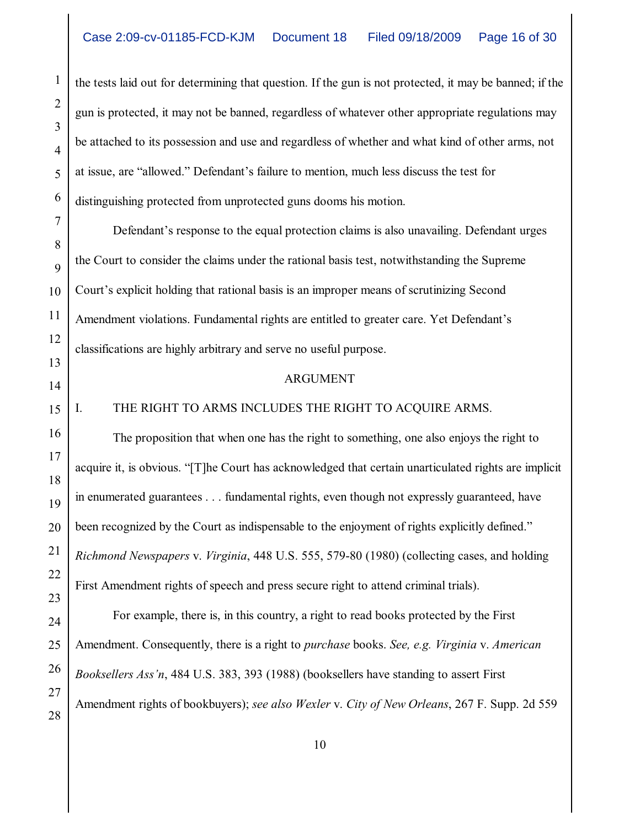the tests laid out for determining that question. If the gun is not protected, it may be banned; if the gun is protected, it may not be banned, regardless of whatever other appropriate regulations may be attached to its possession and use and regardless of whether and what kind of other arms, not at issue, are "allowed." Defendant's failure to mention, much less discuss the test for distinguishing protected from unprotected guns dooms his motion.

Defendant's response to the equal protection claims is also unavailing. Defendant urges the Court to consider the claims under the rational basis test, notwithstanding the Supreme Court's explicit holding that rational basis is an improper means of scrutinizing Second Amendment violations. Fundamental rights are entitled to greater care. Yet Defendant's classifications are highly arbitrary and serve no useful purpose.

#### ARGUMENT

I. THE RIGHT TO ARMS INCLUDES THE RIGHT TO ACQUIRE ARMS.

The proposition that when one has the right to something, one also enjoys the right to acquire it, is obvious. "[T]he Court has acknowledged that certain unarticulated rights are implicit in enumerated guarantees . . . fundamental rights, even though not expressly guaranteed, have been recognized by the Court as indispensable to the enjoyment of rights explicitly defined." *Richmond Newspapers* v. *Virginia*, 448 U.S. 555, 579-80 (1980) (collecting cases, and holding First Amendment rights of speech and press secure right to attend criminal trials).

For example, there is, in this country, a right to read books protected by the First Amendment. Consequently, there is a right to *purchase* books. *See, e.g. Virginia* v. *American Booksellers Ass'n*, 484 U.S. 383, 393 (1988) (booksellers have standing to assert First Amendment rights of bookbuyers); *see also Wexler* v. *City of New Orleans*, 267 F. Supp. 2d 559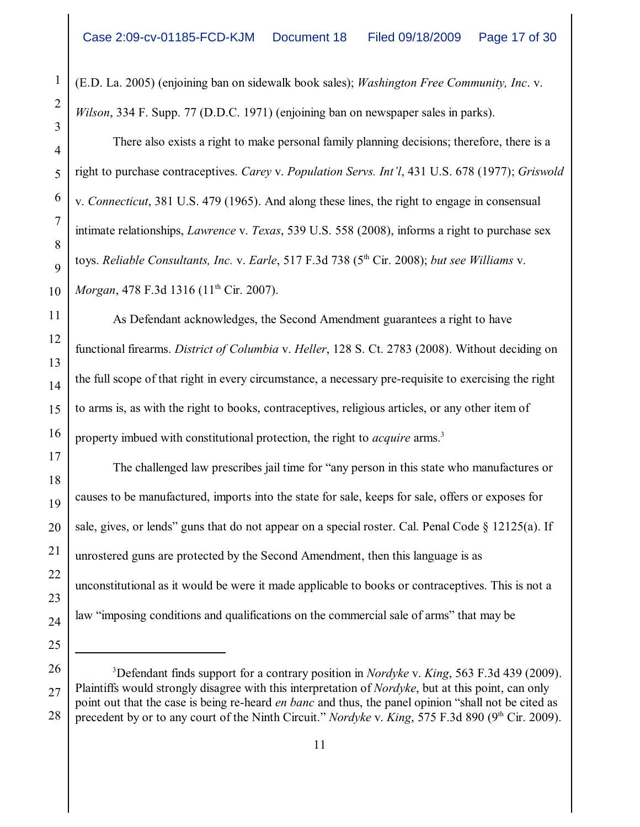(E.D. La. 2005) (enjoining ban on sidewalk book sales); *Washington Free Community, Inc*. v. *Wilson*, 334 F. Supp. 77 (D.D.C. 1971) (enjoining ban on newspaper sales in parks).

There also exists a right to make personal family planning decisions; therefore, there is a right to purchase contraceptives. *Carey* v. *Population Servs. Int'l*, 431 U.S. 678 (1977); *Griswold* v. *Connecticut*, 381 U.S. 479 (1965). And along these lines, the right to engage in consensual intimate relationships, *Lawrence* v. *Texas*, 539 U.S. 558 (2008), informs a right to purchase sex toys. *Reliable Consultants, Inc. v. Earle,* 517 F.3d 738 (5<sup>th</sup> Cir. 2008); *but see Williams v*. *Morgan*, 478 F.3d 1316 (11<sup>th</sup> Cir. 2007).

As Defendant acknowledges, the Second Amendment guarantees a right to have functional firearms. *District of Columbia* v. *Heller*, 128 S. Ct. 2783 (2008). Without deciding on the full scope of that right in every circumstance, a necessary pre-requisite to exercising the right to arms is, as with the right to books, contraceptives, religious articles, or any other item of property imbued with constitutional protection, the right to *acquire* arms. 3

The challenged law prescribes jail time for "any person in this state who manufactures or causes to be manufactured, imports into the state for sale, keeps for sale, offers or exposes for sale, gives, or lends" guns that do not appear on a special roster. Cal. Penal Code  $\S$  12125(a). If unrostered guns are protected by the Second Amendment, then this language is as unconstitutional as it would be were it made applicable to books or contraceptives. This is not a law "imposing conditions and qualifications on the commercial sale of arms" that may be

<sup>&</sup>lt;sup>3</sup>Defendant finds support for a contrary position in *Nordyke* v. *King*, 563 F.3d 439 (2009). Plaintiffs would strongly disagree with this interpretation of *Nordyke*, but at this point, can only point out that the case is being re-heard *en banc* and thus, the panel opinion "shall not be cited as precedent by or to any court of the Ninth Circuit." *Nordyke* v. *King*, 575 F.3d 890 (9<sup>th</sup> Cir. 2009).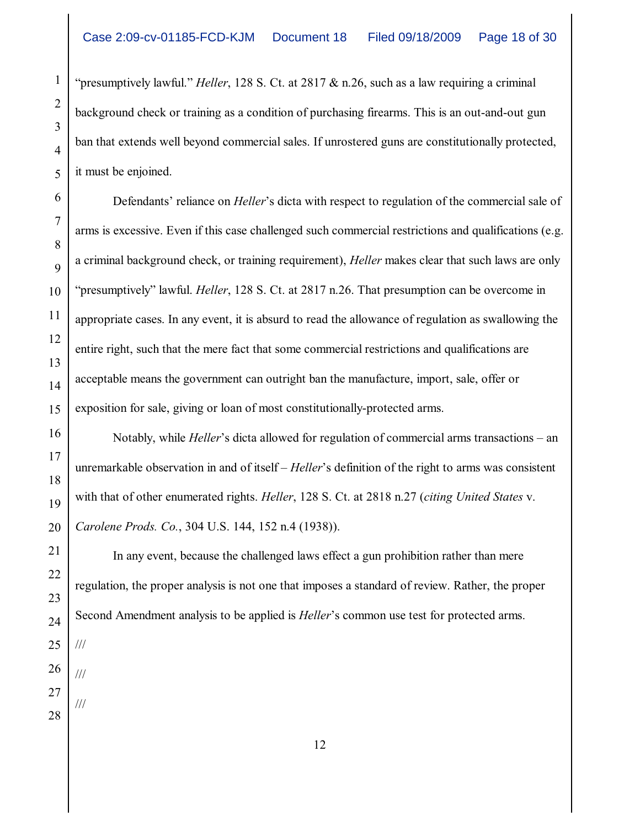"presumptively lawful." *Heller*, 128 S. Ct. at 2817 & n.26, such as a law requiring a criminal background check or training as a condition of purchasing firearms. This is an out-and-out gun ban that extends well beyond commercial sales. If unrostered guns are constitutionally protected, it must be enjoined.

Defendants' reliance on *Heller*'s dicta with respect to regulation of the commercial sale of arms is excessive. Even if this case challenged such commercial restrictions and qualifications (e.g. a criminal background check, or training requirement), *Heller* makes clear that such laws are only "presumptively" lawful. *Heller*, 128 S. Ct. at 2817 n.26. That presumption can be overcome in appropriate cases. In any event, it is absurd to read the allowance of regulation as swallowing the entire right, such that the mere fact that some commercial restrictions and qualifications are acceptable means the government can outright ban the manufacture, import, sale, offer or exposition for sale, giving or loan of most constitutionally-protected arms.

Notably, while *Heller*'s dicta allowed for regulation of commercial arms transactions – an unremarkable observation in and of itself – *Heller*'s definition of the right to arms was consistent with that of other enumerated rights. *Heller*, 128 S. Ct. at 2818 n.27 (*citing United States* v. *Carolene Prods. Co.*, 304 U.S. 144, 152 n.4 (1938)).

In any event, because the challenged laws effect a gun prohibition rather than mere regulation, the proper analysis is not one that imposes a standard of review. Rather, the proper Second Amendment analysis to be applied is *Heller*'s common use test for protected arms.

26

1

2

3

4

5

6

7

8

9

10

11

12

13

14

15

16

17

18

19

20

21

22

23

24

25

///

///

///

27 28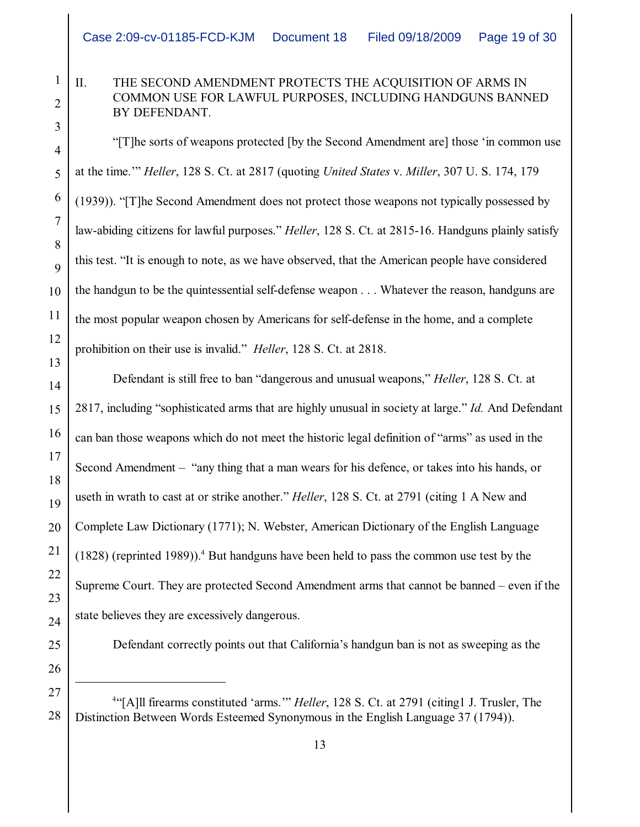# II. THE SECOND AMENDMENT PROTECTS THE ACQUISITION OF ARMS IN COMMON USE FOR LAWFUL PURPOSES, INCLUDING HANDGUNS BANNED BY DEFENDANT.

"[T]he sorts of weapons protected [by the Second Amendment are] those 'in common use at the time.'" *Heller*, 128 S. Ct. at 2817 (quoting *United States* v. *Miller*, 307 U. S. 174, 179 (1939)). "[T]he Second Amendment does not protect those weapons not typically possessed by law-abiding citizens for lawful purposes." *Heller*, 128 S. Ct. at 2815-16. Handguns plainly satisfy this test. "It is enough to note, as we have observed, that the American people have considered the handgun to be the quintessential self-defense weapon . . . Whatever the reason, handguns are the most popular weapon chosen by Americans for self-defense in the home, and a complete prohibition on their use is invalid." *Heller*, 128 S. Ct. at 2818.

Defendant is still free to ban "dangerous and unusual weapons," *Heller*, 128 S. Ct. at 2817, including "sophisticated arms that are highly unusual in society at large." *Id.* And Defendant can ban those weapons which do not meet the historic legal definition of "arms" as used in the Second Amendment – "any thing that a man wears for his defence, or takes into his hands, or useth in wrath to cast at or strike another." *Heller*, 128 S. Ct. at 2791 (citing 1 A New and Complete Law Dictionary (1771); N. Webster, American Dictionary of the English Language  $(1828)$  (reprinted 1989)).<sup>4</sup> But handguns have been held to pass the common use test by the Supreme Court. They are protected Second Amendment arms that cannot be banned – even if the state believes they are excessively dangerous.

Defendant correctly points out that California's handgun ban is not as sweeping as the

<sup>4</sup>"[A]ll firearms constituted 'arms."" *Heller*, 128 S. Ct. at 2791 (citing1 J. Trusler, The Distinction Between Words Esteemed Synonymous in the English Language 37 (1794)).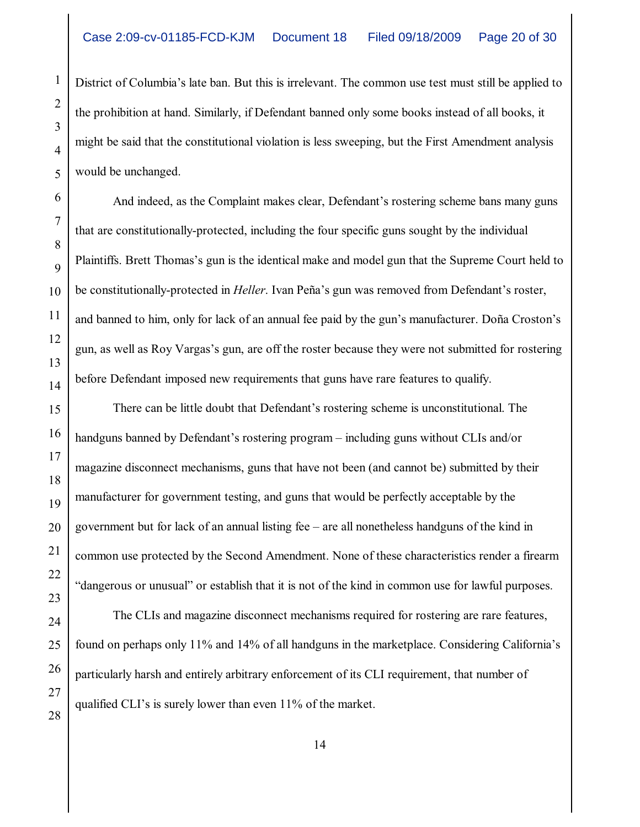District of Columbia's late ban. But this is irrelevant. The common use test must still be applied to the prohibition at hand. Similarly, if Defendant banned only some books instead of all books, it might be said that the constitutional violation is less sweeping, but the First Amendment analysis would be unchanged.

And indeed, as the Complaint makes clear, Defendant's rostering scheme bans many guns that are constitutionally-protected, including the four specific guns sought by the individual Plaintiffs. Brett Thomas's gun is the identical make and model gun that the Supreme Court held to be constitutionally-protected in *Heller*. Ivan Peña's gun was removed from Defendant's roster, and banned to him, only for lack of an annual fee paid by the gun's manufacturer. Doña Croston's gun, as well as Roy Vargas's gun, are off the roster because they were not submitted for rostering before Defendant imposed new requirements that guns have rare features to qualify.

There can be little doubt that Defendant's rostering scheme is unconstitutional. The handguns banned by Defendant's rostering program – including guns without CLIs and/or magazine disconnect mechanisms, guns that have not been (and cannot be) submitted by their manufacturer for government testing, and guns that would be perfectly acceptable by the government but for lack of an annual listing fee – are all nonetheless handguns of the kind in common use protected by the Second Amendment. None of these characteristics render a firearm "dangerous or unusual" or establish that it is not of the kind in common use for lawful purposes.

The CLIs and magazine disconnect mechanisms required for rostering are rare features, found on perhaps only 11% and 14% of all handguns in the marketplace. Considering California's particularly harsh and entirely arbitrary enforcement of its CLI requirement, that number of qualified CLI's is surely lower than even 11% of the market.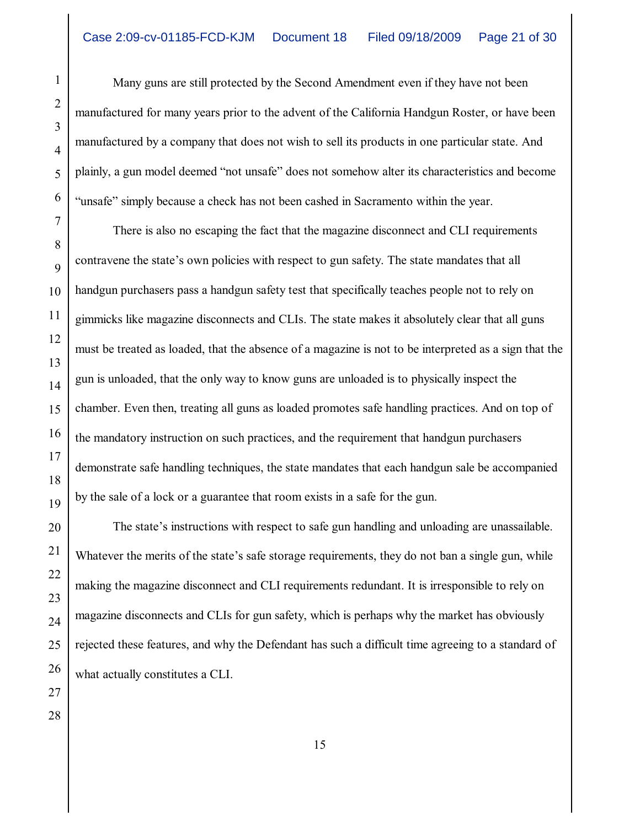Many guns are still protected by the Second Amendment even if they have not been manufactured for many years prior to the advent of the California Handgun Roster, or have been manufactured by a company that does not wish to sell its products in one particular state. And plainly, a gun model deemed "not unsafe" does not somehow alter its characteristics and become "unsafe" simply because a check has not been cashed in Sacramento within the year.

There is also no escaping the fact that the magazine disconnect and CLI requirements contravene the state's own policies with respect to gun safety. The state mandates that all handgun purchasers pass a handgun safety test that specifically teaches people not to rely on gimmicks like magazine disconnects and CLIs. The state makes it absolutely clear that all guns must be treated as loaded, that the absence of a magazine is not to be interpreted as a sign that the gun is unloaded, that the only way to know guns are unloaded is to physically inspect the chamber. Even then, treating all guns as loaded promotes safe handling practices. And on top of the mandatory instruction on such practices, and the requirement that handgun purchasers demonstrate safe handling techniques, the state mandates that each handgun sale be accompanied by the sale of a lock or a guarantee that room exists in a safe for the gun.

The state's instructions with respect to safe gun handling and unloading are unassailable. Whatever the merits of the state's safe storage requirements, they do not ban a single gun, while making the magazine disconnect and CLI requirements redundant. It is irresponsible to rely on magazine disconnects and CLIs for gun safety, which is perhaps why the market has obviously rejected these features, and why the Defendant has such a difficult time agreeing to a standard of what actually constitutes a CLI.

1

2

3

4

5

6

7

8

9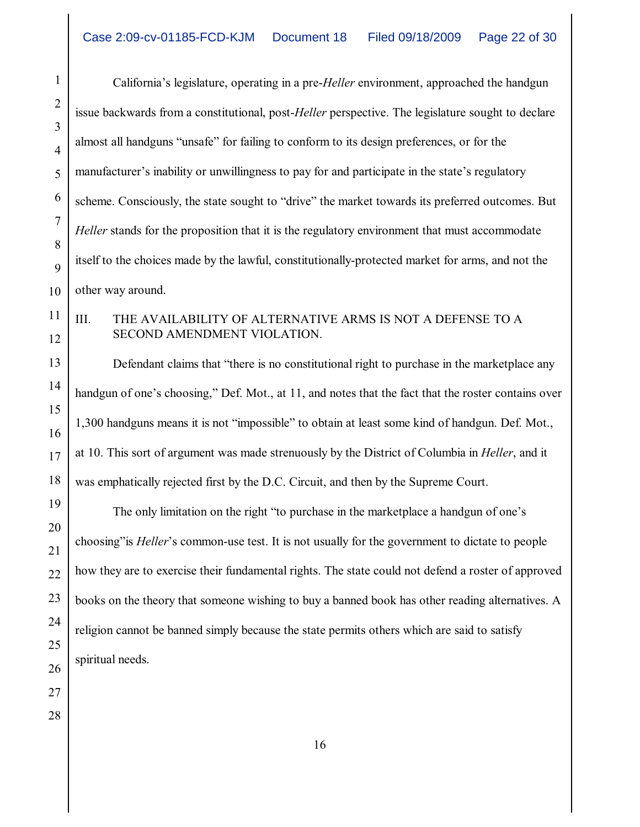California's legislature, operating in a pre-*Heller* environment, approached the handgun issue backwards from a constitutional, post-*Heller* perspective. The legislature sought to declare almost all handguns "unsafe" for failing to conform to its design preferences, or for the manufacturer's inability or unwillingness to pay for and participate in the state's regulatory scheme. Consciously, the state sought to "drive" the market towards its preferred outcomes. But *Heller* stands for the proposition that it is the regulatory environment that must accommodate itself to the choices made by the lawful, constitutionally-protected market for arms, and not the other way around.

III. THE AVAILABILITY OF ALTERNATIVE ARMS IS NOT A DEFENSE TO A SECOND AMENDMENT VIOLATION.

Defendant claims that "there is no constitutional right to purchase in the marketplace any handgun of one's choosing," Def. Mot., at 11, and notes that the fact that the roster contains over 1,300 handguns means it is not "impossible" to obtain at least some kind of handgun. Def. Mot., at 10. This sort of argument was made strenuously by the District of Columbia in *Heller*, and it was emphatically rejected first by the D.C. Circuit, and then by the Supreme Court.

The only limitation on the right "to purchase in the marketplace a handgun of one's choosing"is *Heller*'s common-use test. It is not usually for the government to dictate to people how they are to exercise their fundamental rights. The state could not defend a roster of approved books on the theory that someone wishing to buy a banned book has other reading alternatives. A religion cannot be banned simply because the state permits others which are said to satisfy spiritual needs.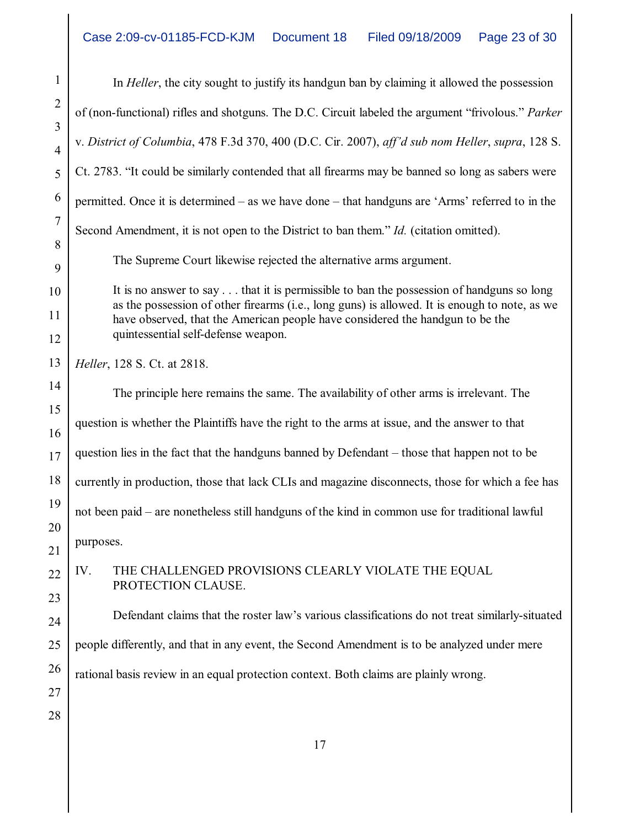1 2 3 4 5 6 7 8 9 10 11 12 13 14 15 16 17 18 19 20 21 22 23 24 25 26 27 28 In *Heller*, the city sought to justify its handgun ban by claiming it allowed the possession of (non-functional) rifles and shotguns. The D.C. Circuit labeled the argument "frivolous." *Parker* v. *District of Columbia*, 478 F.3d 370, 400 (D.C. Cir. 2007), *aff'd sub nom Heller*, *supra*, 128 S. Ct. 2783. "It could be similarly contended that all firearms may be banned so long as sabers were permitted. Once it is determined – as we have done – that handguns are 'Arms' referred to in the Second Amendment, it is not open to the District to ban them." *Id.* (citation omitted). The Supreme Court likewise rejected the alternative arms argument. It is no answer to say . . . that it is permissible to ban the possession of handguns so long as the possession of other firearms (i.e., long guns) is allowed. It is enough to note, as we have observed, that the American people have considered the handgun to be the quintessential self-defense weapon. *Heller*, 128 S. Ct. at 2818. The principle here remains the same. The availability of other arms is irrelevant. The question is whether the Plaintiffs have the right to the arms at issue, and the answer to that question lies in the fact that the handguns banned by Defendant – those that happen not to be currently in production, those that lack CLIs and magazine disconnects, those for which a fee has not been paid – are nonetheless still handguns of the kind in common use for traditional lawful purposes. IV. THE CHALLENGED PROVISIONS CLEARLY VIOLATE THE EQUAL PROTECTION CLAUSE. Defendant claims that the roster law's various classifications do not treat similarly-situated people differently, and that in any event, the Second Amendment is to be analyzed under mere rational basis review in an equal protection context. Both claims are plainly wrong.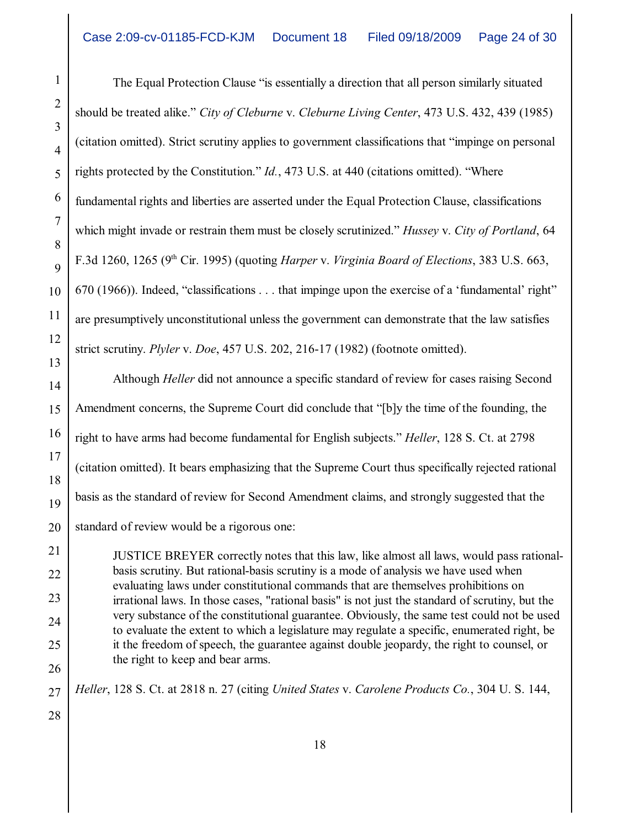The Equal Protection Clause "is essentially a direction that all person similarly situated should be treated alike." *City of Cleburne* v. *Cleburne Living Center*, 473 U.S. 432, 439 (1985) (citation omitted). Strict scrutiny applies to government classifications that "impinge on personal rights protected by the Constitution." *Id.*, 473 U.S. at 440 (citations omitted). "Where fundamental rights and liberties are asserted under the Equal Protection Clause, classifications which might invade or restrain them must be closely scrutinized." *Hussey* v. *City of Portland*, 64 F.3d 1260, 1265 (9<sup>th</sup> Cir. 1995) (quoting *Harper* v. *Virginia Board of Elections*, 383 U.S. 663, 670 (1966)). Indeed, "classifications . . . that impinge upon the exercise of a 'fundamental' right" are presumptively unconstitutional unless the government can demonstrate that the law satisfies strict scrutiny. *Plyler* v. *Doe*, 457 U.S. 202, 216-17 (1982) (footnote omitted).

Although *Heller* did not announce a specific standard of review for cases raising Second Amendment concerns, the Supreme Court did conclude that "[b]y the time of the founding, the right to have arms had become fundamental for English subjects." *Heller*, 128 S. Ct. at 2798 (citation omitted). It bears emphasizing that the Supreme Court thus specifically rejected rational basis as the standard of review for Second Amendment claims, and strongly suggested that the standard of review would be a rigorous one:

JUSTICE BREYER correctly notes that this law, like almost all laws, would pass rationalbasis scrutiny. But rational-basis scrutiny is a mode of analysis we have used when evaluating laws under constitutional commands that are themselves prohibitions on irrational laws. In those cases, "rational basis" is not just the standard of scrutiny, but the very substance of the constitutional guarantee. Obviously, the same test could not be used to evaluate the extent to which a legislature may regulate a specific, enumerated right, be it the freedom of speech, the guarantee against double jeopardy, the right to counsel, or the right to keep and bear arms.

*Heller*, 128 S. Ct. at 2818 n. 27 (citing *United States* v. *Carolene Products Co.*, 304 U. S. 144,

28

27

1

2

3

4

5

6

7

8

9

10

11

12

13

14

15

16

17

18

19

20

21

22

23

24

25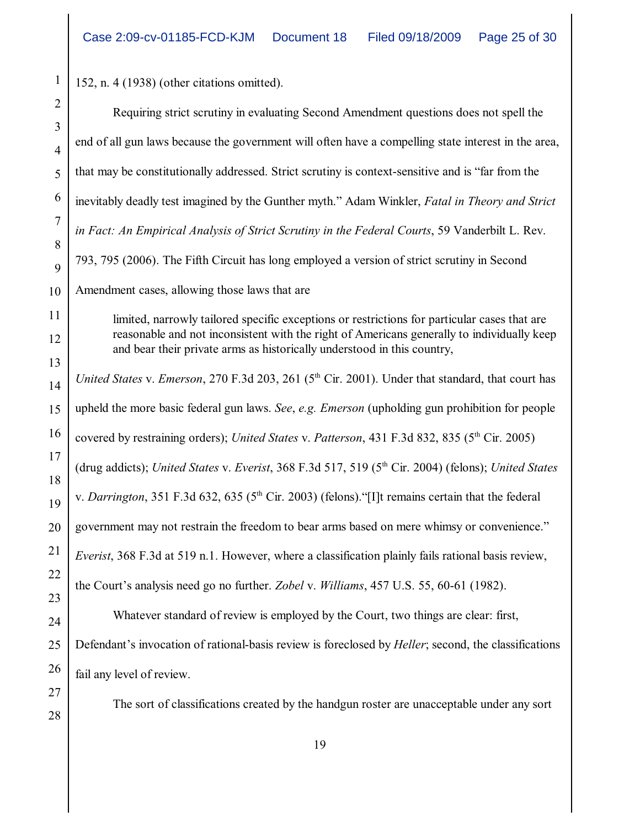152, n. 4 (1938) (other citations omitted).

| Requiring strict scrutiny in evaluating Second Amendment questions does not spell the                                                                                                                                                                                 |
|-----------------------------------------------------------------------------------------------------------------------------------------------------------------------------------------------------------------------------------------------------------------------|
| end of all gun laws because the government will often have a compelling state interest in the area,                                                                                                                                                                   |
| that may be constitutionally addressed. Strict scrutiny is context-sensitive and is "far from the                                                                                                                                                                     |
| inevitably deadly test imagined by the Gunther myth." Adam Winkler, Fatal in Theory and Strict                                                                                                                                                                        |
| in Fact: An Empirical Analysis of Strict Scrutiny in the Federal Courts, 59 Vanderbilt L. Rev.                                                                                                                                                                        |
| 793, 795 (2006). The Fifth Circuit has long employed a version of strict scrutiny in Second                                                                                                                                                                           |
| Amendment cases, allowing those laws that are                                                                                                                                                                                                                         |
| limited, narrowly tailored specific exceptions or restrictions for particular cases that are<br>reasonable and not inconsistent with the right of Americans generally to individually keep<br>and bear their private arms as historically understood in this country, |
| United States v. Emerson, 270 F.3d 203, 261 (5 <sup>th</sup> Cir. 2001). Under that standard, that court has                                                                                                                                                          |
| upheld the more basic federal gun laws. See, e.g. Emerson (upholding gun prohibition for people                                                                                                                                                                       |
| covered by restraining orders); United States v. Patterson, 431 F.3d 832, 835 (5 <sup>th</sup> Cir. 2005)                                                                                                                                                             |
| (drug addicts); United States v. Everist, 368 F.3d 517, 519 (5 <sup>th</sup> Cir. 2004) (felons); United States                                                                                                                                                       |
| v. Darrington, 351 F.3d 632, 635 (5 <sup>th</sup> Cir. 2003) (felons). "[I]t remains certain that the federal                                                                                                                                                         |
| government may not restrain the freedom to bear arms based on mere whimsy or convenience."                                                                                                                                                                            |
| Everist, 368 F.3d at 519 n.1. However, where a classification plainly fails rational basis review,                                                                                                                                                                    |
| the Court's analysis need go no further. Zobel v. Williams, 457 U.S. 55, 60-61 (1982).                                                                                                                                                                                |
| Whatever standard of review is employed by the Court, two things are clear: first,                                                                                                                                                                                    |
| Defendant's invocation of rational-basis review is foreclosed by <i>Heller</i> ; second, the classifications                                                                                                                                                          |
| fail any level of review.                                                                                                                                                                                                                                             |
| The sort of classifications created by the handgun roster are unacceptable under any sort                                                                                                                                                                             |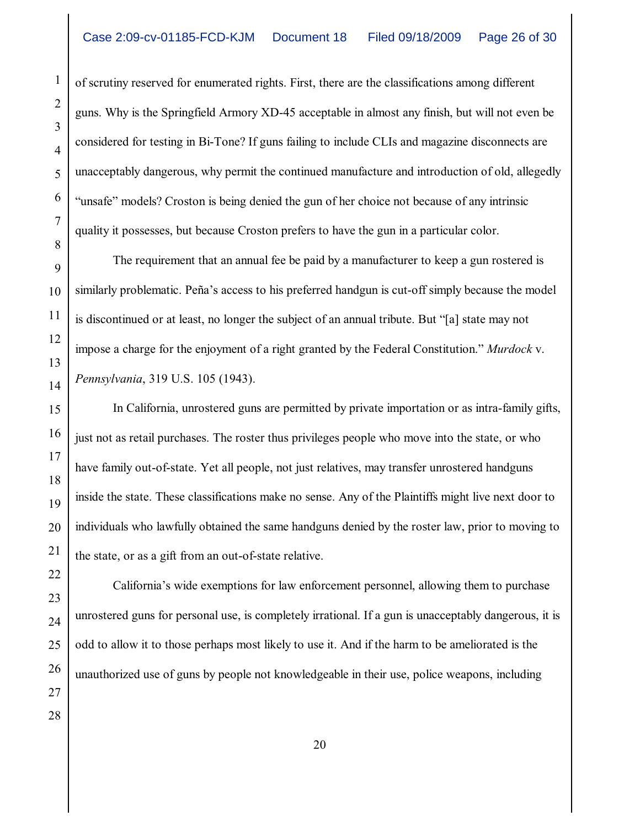of scrutiny reserved for enumerated rights. First, there are the classifications among different guns. Why is the Springfield Armory XD-45 acceptable in almost any finish, but will not even be considered for testing in Bi-Tone? If guns failing to include CLIs and magazine disconnects are unacceptably dangerous, why permit the continued manufacture and introduction of old, allegedly "unsafe" models? Croston is being denied the gun of her choice not because of any intrinsic quality it possesses, but because Croston prefers to have the gun in a particular color.

The requirement that an annual fee be paid by a manufacturer to keep a gun rostered is similarly problematic. Peña's access to his preferred handgun is cut-off simply because the model is discontinued or at least, no longer the subject of an annual tribute. But "[a] state may not impose a charge for the enjoyment of a right granted by the Federal Constitution." *Murdock* v. *Pennsylvania*, 319 U.S. 105 (1943).

In California, unrostered guns are permitted by private importation or as intra-family gifts, just not as retail purchases. The roster thus privileges people who move into the state, or who have family out-of-state. Yet all people, not just relatives, may transfer unrostered handguns inside the state. These classifications make no sense. Any of the Plaintiffs might live next door to individuals who lawfully obtained the same handguns denied by the roster law, prior to moving to the state, or as a gift from an out-of-state relative.

California's wide exemptions for law enforcement personnel, allowing them to purchase unrostered guns for personal use, is completely irrational. If a gun is unacceptably dangerous, it is odd to allow it to those perhaps most likely to use it. And if the harm to be ameliorated is the unauthorized use of guns by people not knowledgeable in their use, police weapons, including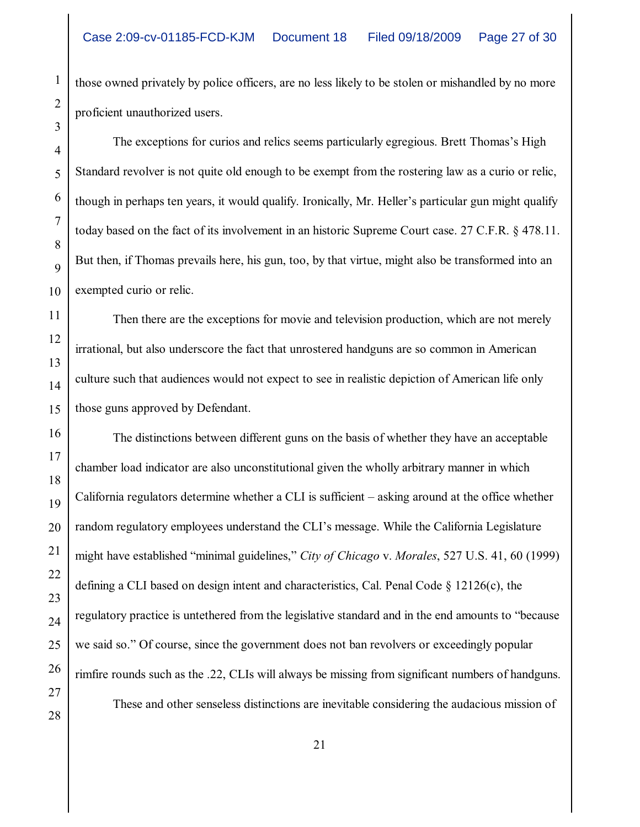those owned privately by police officers, are no less likely to be stolen or mishandled by no more proficient unauthorized users.

The exceptions for curios and relics seems particularly egregious. Brett Thomas's High Standard revolver is not quite old enough to be exempt from the rostering law as a curio or relic, though in perhaps ten years, it would qualify. Ironically, Mr. Heller's particular gun might qualify today based on the fact of its involvement in an historic Supreme Court case. 27 C.F.R. § 478.11. But then, if Thomas prevails here, his gun, too, by that virtue, might also be transformed into an exempted curio or relic.

Then there are the exceptions for movie and television production, which are not merely irrational, but also underscore the fact that unrostered handguns are so common in American culture such that audiences would not expect to see in realistic depiction of American life only those guns approved by Defendant.

The distinctions between different guns on the basis of whether they have an acceptable chamber load indicator are also unconstitutional given the wholly arbitrary manner in which California regulators determine whether a CLI is sufficient – asking around at the office whether random regulatory employees understand the CLI's message. While the California Legislature might have established "minimal guidelines," *City of Chicago* v. *Morales*, 527 U.S. 41, 60 (1999) defining a CLI based on design intent and characteristics, Cal. Penal Code § 12126(c), the regulatory practice is untethered from the legislative standard and in the end amounts to "because we said so." Of course, since the government does not ban revolvers or exceedingly popular rimfire rounds such as the .22, CLIs will always be missing from significant numbers of handguns. These and other senseless distinctions are inevitable considering the audacious mission of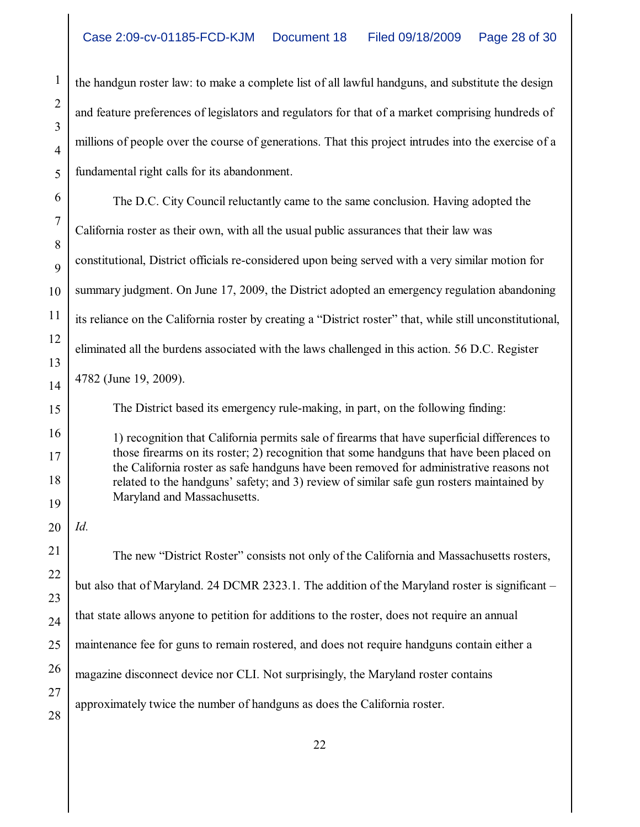the handgun roster law: to make a complete list of all lawful handguns, and substitute the design and feature preferences of legislators and regulators for that of a market comprising hundreds of millions of people over the course of generations. That this project intrudes into the exercise of a fundamental right calls for its abandonment.

The D.C. City Council reluctantly came to the same conclusion. Having adopted the California roster as their own, with all the usual public assurances that their law was constitutional, District officials re-considered upon being served with a very similar motion for summary judgment. On June 17, 2009, the District adopted an emergency regulation abandoning its reliance on the California roster by creating a "District roster" that, while still unconstitutional, eliminated all the burdens associated with the laws challenged in this action. 56 D.C. Register 4782 (June 19, 2009).

The District based its emergency rule-making, in part, on the following finding:

1) recognition that California permits sale of firearms that have superficial differences to those firearms on its roster; 2) recognition that some handguns that have been placed on the California roster as safe handguns have been removed for administrative reasons not related to the handguns' safety; and 3) review of similar safe gun rosters maintained by Maryland and Massachusetts.

*Id.*

The new "District Roster" consists not only of the California and Massachusetts rosters, but also that of Maryland. 24 DCMR 2323.1. The addition of the Maryland roster is significant – that state allows anyone to petition for additions to the roster, does not require an annual maintenance fee for guns to remain rostered, and does not require handguns contain either a magazine disconnect device nor CLI. Not surprisingly, the Maryland roster contains approximately twice the number of handguns as does the California roster.

1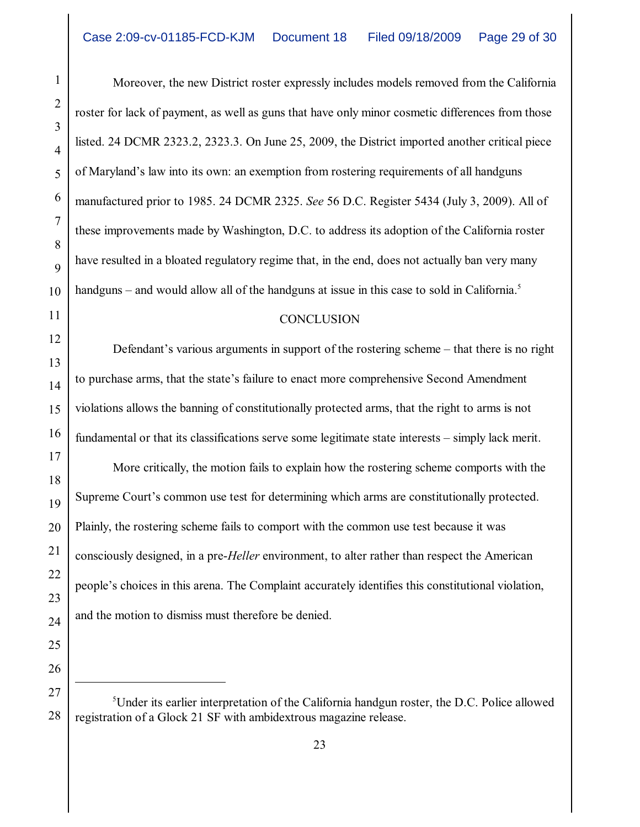Moreover, the new District roster expressly includes models removed from the California roster for lack of payment, as well as guns that have only minor cosmetic differences from those listed. 24 DCMR 2323.2, 2323.3. On June 25, 2009, the District imported another critical piece of Maryland's law into its own: an exemption from rostering requirements of all handguns manufactured prior to 1985. 24 DCMR 2325. *See* 56 D.C. Register 5434 (July 3, 2009). All of these improvements made by Washington, D.C. to address its adoption of the California roster have resulted in a bloated regulatory regime that, in the end, does not actually ban very many handguns – and would allow all of the handguns at issue in this case to sold in California.<sup>5</sup>

## **CONCLUSION**

Defendant's various arguments in support of the rostering scheme – that there is no right to purchase arms, that the state's failure to enact more comprehensive Second Amendment violations allows the banning of constitutionally protected arms, that the right to arms is not fundamental or that its classifications serve some legitimate state interests – simply lack merit.

More critically, the motion fails to explain how the rostering scheme comports with the Supreme Court's common use test for determining which arms are constitutionally protected. Plainly, the rostering scheme fails to comport with the common use test because it was consciously designed, in a pre-*Heller* environment, to alter rather than respect the American people's choices in this arena. The Complaint accurately identifies this constitutional violation, and the motion to dismiss must therefore be denied.

 ${}^{5}$ Under its earlier interpretation of the California handgun roster, the D.C. Police allowed registration of a Glock 21 SF with ambidextrous magazine release.